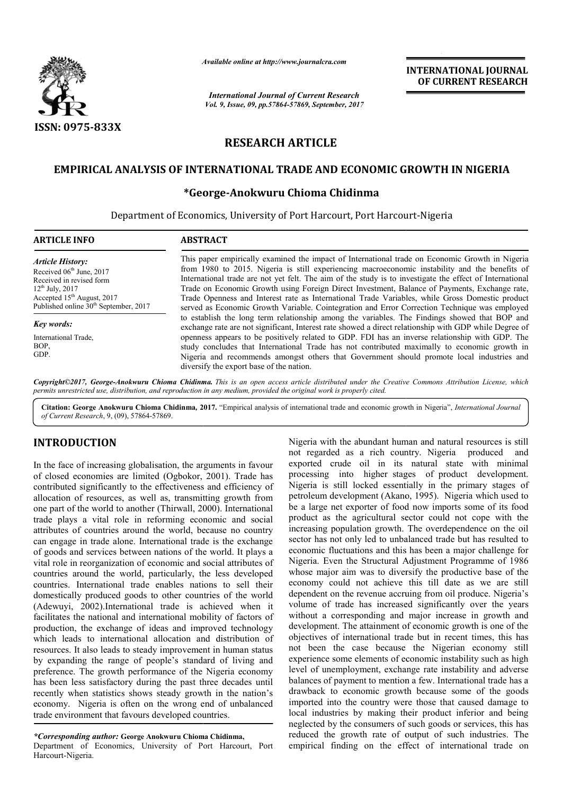

*Available online at http://www.journalcra.com*

*International Journal of Current Research Vol. 9, Issue, 09, pp.57864-57869, September, 2017* **INTERNATIONAL JOURNAL OF CURRENT RESEARCH**

# **RESEARCH ARTICLE**

# **EMPIRICAL ANALYSIS OF INTERNATIONAL TRADE AND ECONOMIC GROWTH IN NIGERIA**

# **\*George \*George-Anokwuru Chioma Chidinma**

Department of Economics, University of Port Harcourt, Port Harcourt Harcourt-Nigeria

# **ARTICLE INFO ABSTRACT**

*Article History:* Received 06<sup>th</sup> June, 2017 Received in revised form  $12^{th}$  July,  $2017$ Accepted 15<sup>th</sup> August, 2017 Published online 30<sup>th</sup> September, 2017

*Key words:* International Trade,

BOP, GDP.

This paper empirically examined the impact of International trade on Economic Growth in Nigeria from 1980 to 2015. Nigeria is still experiencing macroeconomic instability and the benefits of International trade are not yet felt. The aim of the study is to investigate the effect of International Trade on Economic Growth using Foreign Direct Investment, Balance of Payments, Exchange rate, Trade Openness and Interest rate as International Trade Variables, while Gross Domestic product served as Economic Growth Variable. Cointegration and Error Correction Technique was employed to establish the long term relationship among the variables. The Findings showed that BOP and exchange rate are not significant, Interest rate showed a direct relationship with GDP while D openness appears to be positively related to GDP. FDI has an inverse relationship with GDP. The study concludes that International Trade has not contributed maximally to economic growth in openness appears to be positively related to GDP. FDI has an inverse relationship with GDP. The study concludes that International Trade has not contributed maximally to economic growth in Nigeria and recommends amongst ot diversify the export base of the nation. This paper empirically examined the impact of International trade on Economic Growth in Nigeria from 1980 to 2015. Nigeria is still experiencing macroeconomic instability and the benefits of International trade are not yet

Copyright©2017, George-Anokwuru Chioma Chidinma. This is an open access article distributed under the Creative Commons Attribution License, which permits unrestricted use, distribution, and reproduction in any medium, provided the original work is properly cited.

Citation: George Anokwuru Chioma Chidinma, 2017. "Empirical analysis of international trade and economic growth in Nigeria", *International Journal of Current Research*, 9, (09), 57864-57869.

# **INTRODUCTION**

In the face of increasing globalisation, the arguments in favour of closed economies are limited (Ogbokor, 2001). Trade has contributed significantly to the effectiveness and efficiency of allocation of resources, as well as, transmitting growth from one part of the world to another (Thirwall, 2000). International trade plays a vital role in reforming economic and social attributes of countries around the world, because no country can engage in trade alone. International trade is the exchange of goods and services between nations of the world. It plays a vital role in reorganization of economic and social attributes of countries around the world, particularly, the less developed countries. International trade enables nations to sell their domestically produced goods to other countries of the world (Adewuyi, 2002).International trade is achieved when it facilitates the national and international mobility of factors of production, the exchange of ideas and improved technology which leads to international allocation and distribution of resources. It also leads to steady improvement in human status by expanding the range of people's standard of living and preference. The growth performance of the Nigeria economy has been less satisfactory during the past three decades until recently when statistics shows steady growth in the nation's economy. Nigeria is often on the wrong end of unbalanced trade environment that favours developed countries. ly, the less developed<br>nations to sell their<br>countries of the world<br>is achieved when it<br>l mobility of factors of

*\*Corresponding author:* **George Anokwuru Chioma Chidinma Chidinma,**

Department of Economics, University of Port Harcourt, Port Harcourt-Nigeria.

Nigeria with the abundant human and natural resources is still not regarded as a rich country. Nigeria produced and exported crude oil in its natural state with minimal processing into higher stages of product development. Nigeria is still locked essentially in the primary stages of petroleum development (Akano, 1995). Nigeria which used to be a large net exporter of food now imports some of its food product as the agricultural sector could not cope with the increasing population growth. The overdependence on the oil sector has not only led to unbalanced trade but has resulted to economic fluctuations and this has been a major challenge for Nigeria. Even the Structural Adjustment Programme of 1986 sector has not only led to unbalanced trade but has resulted to<br>economic fluctuations and this has been a major challenge for<br>Nigeria. Even the Structural Adjustment Programme of 1986<br>whose major aim was to diversify the p economy could not achieve this till date as we are still dependent on the revenue accruing from oil produce. Nigeria's volume of trade has increased significantly over the years without a corresponding and major increase in growth and development. The attainment of economic growth is one of the objectives of international trade but in recent times, this has not been the case because the Nigerian economy still experience some elements of economic instability such as high level of unemployment, exchange rate instability and adverse balances of payment to mention a few. International trade has a drawback to economic growth because some of the goods imported into the country were those that caused damage to level of unemployment, exchange rate instability and adverse<br>balances of payment to mention a few. International trade has a<br>drawback to economic growth because some of the goods<br>imported into the country were those that c neglected by the consumers of such goods or services, this has neglected by the consumers of such goods or services, this has reduced the growth rate of output of such industries. The empirical finding on the effect of international trade on is a mean and natural resources is still<br>as a rich country. Nigeria produced and<br>le oil in its natural state with minimal<br>to higher stages of product development.<br>l locked essentially in the primary stages of petroleum development (Akano, 1995). Nigeria which used to<br>be a large net exporter of food now imports some of its food<br>product as the agricultural sector could not cope with the<br>increasing population growth. The overdepen volume of trade has increased significantly over the years without a corresponding and major increase in growth and development. The attainment of economic growth is one of the objectives of international trade but in rece **INTERNATIONAL JOURNAL**<br> **INTERNATIONAL JOURNAL**<br> **IDENTIFY (CONTRENT RESEARCHERET)**<br> **IDENTIFY (CONTRENT PRESEARCHERET)**<br> **IDENTIFY (CONTRENT PRESEARCHERET)**<br> **EE**<br> **EE**<br> **IDENTIFY (CONTRENT PRESEARCHERET)**<br> **IDENTIFY (C**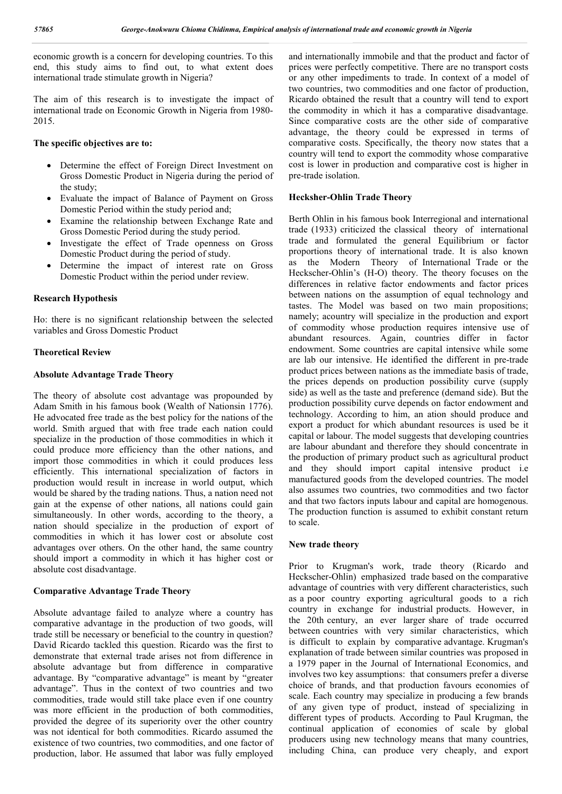economic growth is a concern for developing countries. To this end, this study aims to find out, to what extent does international trade stimulate growth in Nigeria?

The aim of this research is to investigate the impact of international trade on Economic Growth in Nigeria from 1980- 2015.

# **The specific objectives are to:**

- Determine the effect of Foreign Direct Investment on Gross Domestic Product in Nigeria during the period of the study;
- Evaluate the impact of Balance of Payment on Gross Domestic Period within the study period and;
- Examine the relationship between Exchange Rate and Gross Domestic Period during the study period.
- Investigate the effect of Trade openness on Gross Domestic Product during the period of study.
- Determine the impact of interest rate on Gross Domestic Product within the period under review.

#### **Research Hypothesis**

Ho: there is no significant relationship between the selected variables and Gross Domestic Product

# **Theoretical Review**

### **Absolute Advantage Trade Theory**

The theory of absolute cost advantage was propounded by Adam Smith in his famous book (Wealth of Nationsin 1776). He advocated free trade as the best policy for the nations of the world. Smith argued that with free trade each nation could specialize in the production of those commodities in which it could produce more efficiency than the other nations, and import those commodities in which it could produces less efficiently. This international specialization of factors in production would result in increase in world output, which would be shared by the trading nations. Thus, a nation need not gain at the expense of other nations, all nations could gain simultaneously. In other words, according to the theory, a nation should specialize in the production of export of commodities in which it has lower cost or absolute cost advantages over others. On the other hand, the same country should import a commodity in which it has higher cost or absolute cost disadvantage.

# **Comparative Advantage Trade Theory**

Absolute advantage failed to analyze where a country has comparative advantage in the production of two goods, will trade still be necessary or beneficial to the country in question? David Ricardo tackled this question. Ricardo was the first to demonstrate that external trade arises not from difference in absolute advantage but from difference in comparative advantage. By "comparative advantage" is meant by "greater advantage". Thus in the context of two countries and two commodities, trade would still take place even if one country was more efficient in the production of both commodities, provided the degree of its superiority over the other country was not identical for both commodities. Ricardo assumed the existence of two countries, two commodities, and one factor of production, labor. He assumed that labor was fully employed

and internationally immobile and that the product and factor of prices were perfectly competitive. There are no transport costs or any other impediments to trade. In context of a model of two countries, two commodities and one factor of production, Ricardo obtained the result that a country will tend to export the commodity in which it has a comparative disadvantage. Since comparative costs are the other side of comparative advantage, the theory could be expressed in terms of comparative costs. Specifically, the theory now states that a country will tend to export the commodity whose comparative cost is lower in production and comparative cost is higher in pre-trade isolation.

# **Hecksher-Ohlin Trade Theory**

Berth Ohlin in his famous book Interregional and international trade (1933) criticized the classical theory of international trade and formulated the general Equilibrium or factor proportions theory of international trade. It is also known as the Modern Theory of International Trade or the Heckscher-Ohlin's (H-O) theory. The theory focuses on the differences in relative factor endowments and factor prices between nations on the assumption of equal technology and tastes. The Model was based on two main propositions; namely; acountry will specialize in the production and export of commodity whose production requires intensive use of abundant resources. Again, countries differ in factor endowment. Some countries are capital intensive while some are lab our intensive. He identified the different in pre-trade product prices between nations as the immediate basis of trade, the prices depends on production possibility curve (supply side) as well as the taste and preference (demand side). But the production possibility curve depends on factor endowment and technology. According to him, an ation should produce and export a product for which abundant resources is used be it capital or labour. The model suggests that developing countries are labour abundant and therefore they should concentrate in the production of primary product such as agricultural product and they should import capital intensive product i.e manufactured goods from the developed countries. The model also assumes two countries, two commodities and two factor and that two factors inputs labour and capital are homogenous. The production function is assumed to exhibit constant return to scale.

# **New trade theory**

Prior to Krugman's work, trade theory (Ricardo and Heckscher-Ohlin) emphasized trade based on the comparative advantage of countries with very different characteristics, such as a poor country exporting agricultural goods to a rich country in exchange for industrial products. However, in the 20th century, an ever larger share of trade occurred between countries with very similar characteristics, which is difficult to explain by comparative advantage. Krugman's explanation of trade between similar countries was proposed in a 1979 paper in the Journal of International Economics, and involves two key assumptions: that consumers prefer a diverse choice of brands, and that production favours economies of scale. Each country may specialize in producing a few brands of any given type of product, instead of specializing in different types of products. According to Paul Krugman, the continual application of economies of scale by global producers using new technology means that many countries, including China, can produce very cheaply, and export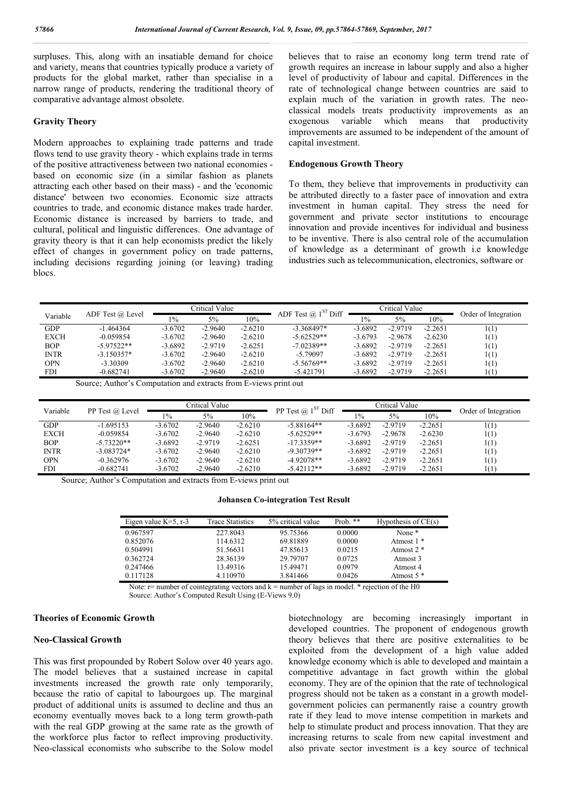surpluses. This, along with an insatiable demand for choice and variety, means that countries typically produce a variety of products for the global market, rather than specialise in a narrow range of products, rendering the traditional theory of comparative advantage almost obsolete.

# **Gravity Theory**

Modern approaches to explaining trade patterns and trade flows tend to use gravity theory - which explains trade in terms of the positive attractiveness between two national economies based on economic size (in a similar fashion as planets attracting each other based on their mass) - and the 'economic distance' between two economies. Economic size attracts countries to trade, and economic distance makes trade harder. Economic distance is increased by barriers to trade, and cultural, political and linguistic differences. One advantage of gravity theory is that it can help economists predict the likely effect of changes in government policy on trade patterns, including decisions regarding joining (or leaving) trading blocs.

believes that to raise an economy long term trend rate of growth requires an increase in labour supply and also a higher level of productivity of labour and capital. Differences in the rate of technological change between countries are said to explain much of the variation in growth rates. The neoclassical models treats productivity improvements as an exogenous variable which means that productivity improvements are assumed to be independent of the amount of capital investment.

# **Endogenous Growth Theory**

To them, they believe that improvements in productivity can be attributed directly to a faster pace of innovation and extra investment in human capital. They stress the need for government and private sector institutions to encourage innovation and provide incentives for individual and business to be inventive. There is also central role of the accumulation of knowledge as a determinant of growth i.e knowledge industries such as telecommunication, electronics, software or

|             |                  | Critical Value |           |           | ADF Test $@$ 1 <sup>ST</sup> Diff | Critical Value |           |           | Order of Integration |
|-------------|------------------|----------------|-----------|-----------|-----------------------------------|----------------|-----------|-----------|----------------------|
| Variable    | ADF Test @ Level | $1\%$          | 5%        | 10%       |                                   | $1\%$          | 5%        | 10%       |                      |
| <b>GDP</b>  | $-1.464364$      | $-3.6702$      | $-2.9640$ | $-2.6210$ | $-3.368497*$                      | $-3.6892$      | $-2.9719$ | $-2.2651$ | 1(1)                 |
| <b>EXCH</b> | $-0.059854$      | $-3.6702$      | $-2.9640$ | $-2.6210$ | $-5.62529**$                      | $-3.6793$      | $-2.9678$ | $-2.6230$ | 1(1)                 |
| <b>BOP</b>  | $-5.97522**$     | $-3.6892$      | $-2.9719$ | $-2.6251$ | $-7.02389**$                      | $-3.6892$      | $-2.9719$ | $-2.2651$ | 1(1)                 |
| <b>INTR</b> | $-3.150357*$     | $-3.6702$      | $-2.9640$ | $-2.6210$ | $-5.79097$                        | $-3.6892$      | $-2.9719$ | $-2.2651$ | 1(1)                 |
| <b>OPN</b>  | $-3.30309$       | $-3.6702$      | $-2.9640$ | $-2.6210$ | $-5.56769**$                      | $-3.6892$      | $-2.9719$ | $-2.2651$ | 1(1)                 |
| <b>FDI</b>  | $-0.682741$      | $-3.6702$      | $-2.9640$ | $-2.6210$ | -5.421791                         | $-3.6892$      | $-2.9719$ | $-2.2651$ | 1(1)                 |

Source; Author's Computation and extracts from E-views print out

| Variable    | PP Test @ Level | Critical Value |           |           | PP Test $@$ 1 <sup>ST</sup> Diff | Critical Value |           |           | Order of Integration |
|-------------|-----------------|----------------|-----------|-----------|----------------------------------|----------------|-----------|-----------|----------------------|
|             |                 | $1\%$          | 5%        | 10%       |                                  | $1\%$          | 5%        | 10%       |                      |
| <b>GDP</b>  | $-1.695153$     | $-3.6702$      | $-2.9640$ | $-2.6210$ | $-5.88164**$                     | $-3.6892$      | $-2.9719$ | $-2.2651$ | 1(1)                 |
| <b>EXCH</b> | $-0.059854$     | $-3.6702$      | $-2.9640$ | $-2.6210$ | $-5.62529**$                     | $-3.6793$      | $-2.9678$ | $-2.6230$ | 1(1)                 |
| <b>BOP</b>  | $-5.73220**$    | $-3.6892$      | $-2.9719$ | $-2.6251$ | $-17.3359**$                     | $-3.6892$      | $-2.9719$ | $-2.2651$ | 1(1)                 |
| <b>INTR</b> | $-3.083724*$    | $-3.6702$      | $-2.9640$ | $-2.6210$ | $-9.30739**$                     | $-3.6892$      | $-2.9719$ | $-2.2651$ | 1(1)                 |
| <b>OPN</b>  | $-0.362976$     | $-3.6702$      | $-2.9640$ | $-2.6210$ | $-4.92078**$                     | $-3.6892$      | $-2.9719$ | $-2.2651$ | 1(1)                 |
| <b>FDI</b>  | $-0.682741$     | $-3.6702$      | $-2.9640$ | $-2.6210$ | $-5.42112**$                     | $-3.6892$      | $-2.9719$ | $-2.2651$ | 1(1)                 |

Source; Author's Computation and extracts from E-views print out

# **Johansen Co-integration Test Result**

| Eigen value $K=5$ , r-3 | <b>Trace Statistics</b> | 5% critical value | Prob. $**$ | Hypothesis of $CE(s)$ |
|-------------------------|-------------------------|-------------------|------------|-----------------------|
| 0.967597                | 227.8043                | 95.75366          | 0.0000     | None <sup>*</sup>     |
| 0.852076                | 114.6312                | 69.81889          | 0.0000     | Atmost $1$ $*$        |
| 0.504991                | 51.56631                | 47.85613          | 0.0215     | Atmost 2 <sup>*</sup> |
| 0.362724                | 28.36139                | 29.79707          | 0.0725     | Atmost 3              |
| 0.247466                | 13.49316                | 15.49471          | 0.0979     | Atmost 4              |
| 0.117128                | 4.110970                | 3.841466          | 0.0426     | Atmost 5 *            |

Note:  $r$  = number of cointegrating vectors and  $k$  = number of lags in model. \* rejection of the H0 Source: Author's Computed Result Using (E-Views 9.0)

#### **Theories of Economic Growth**

#### **Neo-Classical Growth**

This was first propounded by Robert Solow over 40 years ago. The model believes that a sustained increase in capital investments increased the growth rate only temporarily, because the ratio of capital to labourgoes up. The marginal product of additional units is assumed to decline and thus an economy eventually moves back to a long term growth-path with the real GDP growing at the same rate as the growth of the workforce plus factor to reflect improving productivity. Neo-classical economists who subscribe to the Solow model

biotechnology are becoming increasingly important in developed countries. The proponent of endogenous growth theory believes that there are positive externalities to be exploited from the development of a high value added knowledge economy which is able to developed and maintain a competitive advantage in fact growth within the global economy. They are of the opinion that the rate of technological progress should not be taken as a constant in a growth modelgovernment policies can permanently raise a country growth rate if they lead to move intense competition in markets and help to stimulate product and process innovation. That they are increasing returns to scale from new capital investment and also private sector investment is a key source of technical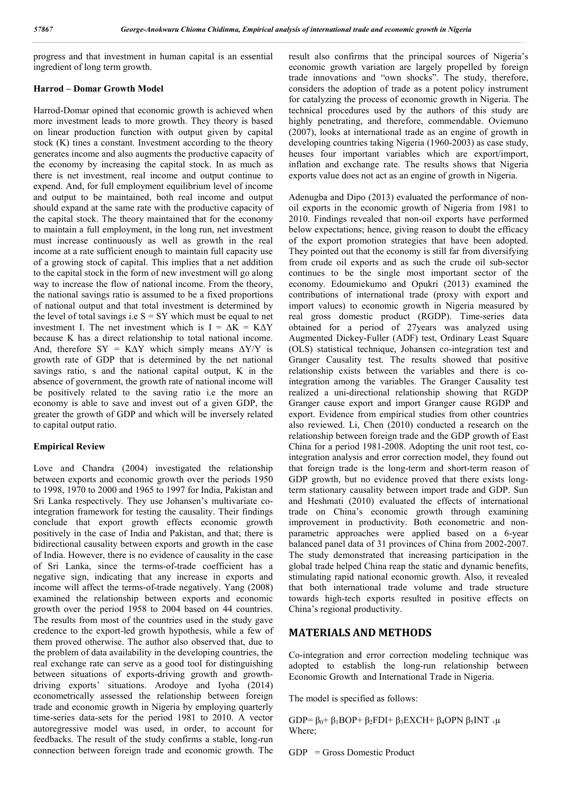progress and that investment in human capital is an essential ingredient of long term growth.

# **Harrod – Domar Growth Model**

Harrod-Domar opined that economic growth is achieved when more investment leads to more growth. They theory is based on linear production function with output given by capital stock (K) tines a constant. Investment according to the theory generates income and also augments the productive capacity of the economy by increasing the capital stock. In as much as there is net investment, real income and output continue to expend. And, for full employment equilibrium level of income and output to be maintained, both real income and output should expand at the same rate with the productive capacity of the capital stock. The theory maintained that for the economy to maintain a full employment, in the long run, net investment must increase continuously as well as growth in the real income at a rate sufficient enough to maintain full capacity use of a growing stock of capital. This implies that a net addition to the capital stock in the form of new investment will go along way to increase the flow of national income. From the theory, the national savings ratio is assumed to be a fixed proportions of national output and that total investment is determined by the level of total savings i.e  $S = SY$  which must be equal to net investment I. The net investment which is  $I = \Delta K = K \Delta Y$ because K has a direct relationship to total national income. And, therefore  $SY = K\Delta Y$  which simply means  $\Delta Y/Y$  is growth rate of GDP that is determined by the net national savings ratio, s and the national capital output, K in the absence of government, the growth rate of national income will be positively related to the saving ratio i.e the more an economy is able to save and invest out of a given GDP, the greater the growth of GDP and which will be inversely related to capital output ratio.

# **Empirical Review**

Love and Chandra (2004) investigated the relationship between exports and economic growth over the periods 1950 to 1998, 1970 to 2000 and 1965 to 1997 for India, Pakistan and Sri Lanka respectively. They use Johansen's multivariate cointegration framework for testing the causality. Their findings conclude that export growth effects economic growth positively in the case of India and Pakistan, and that; there is bidirectional causality between exports and growth in the case of India. However, there is no evidence of causality in the case of Sri Lanka, since the terms-of-trade coefficient has a negative sign, indicating that any increase in exports and income will affect the terms-of-trade negatively. Yang (2008) examined the relationship between exports and economic growth over the period 1958 to 2004 based on 44 countries. The results from most of the countries used in the study gave credence to the export-led growth hypothesis, while a few of them proved otherwise. The author also observed that, due to the problem of data availability in the developing countries, the real exchange rate can serve as a good tool for distinguishing between situations of exports-driving growth and growthdriving exports' situations. Arodoye and Iyoha (2014) econometrically assessed the relationship between foreign trade and economic growth in Nigeria by employing quarterly time-series data-sets for the period 1981 to 2010. A vector autoregressive model was used, in order, to account for feedbacks. The result of the study confirms a stable, long-run connection between foreign trade and economic growth. The

result also confirms that the principal sources of Nigeria's economic growth variation are largely propelled by foreign trade innovations and "own shocks". The study, therefore, considers the adoption of trade as a potent policy instrument for catalyzing the process of economic growth in Nigeria. The technical procedures used by the authors of this study are highly penetrating, and therefore, commendable. Oviemuno (2007), looks at international trade as an engine of growth in developing countries taking Nigeria (1960-2003) as case study, heuses four important variables which are export/import, inflation and exchange rate. The results shows that Nigeria exports value does not act as an engine of growth in Nigeria.

Adenugba and Dipo (2013) evaluated the performance of nonoil exports in the economic growth of Nigeria from 1981 to 2010. Findings revealed that non-oil exports have performed below expectations; hence, giving reason to doubt the efficacy of the export promotion strategies that have been adopted. They pointed out that the economy is still far from diversifying from crude oil exports and as such the crude oil sub-sector continues to be the single most important sector of the economy. Edoumiekumo and Opukri (2013) examined the contributions of international trade (proxy with export and import values) to economic growth in Nigeria measured by real gross domestic product (RGDP). Time-series data obtained for a period of 27years was analyzed using Augmented Dickey-Fuller (ADF) test, Ordinary Least Square (OLS) statistical technique, Johansen co-integration test and Granger Causality test. The results showed that positive relationship exists between the variables and there is cointegration among the variables. The Granger Causality test realized a uni-directional relationship showing that RGDP Granger cause export and import Granger cause RGDP and export. Evidence from empirical studies from other countries also reviewed. Li, Chen (2010) conducted a research on the relationship between foreign trade and the GDP growth of East China for a period 1981-2008. Adopting the unit root test, cointegration analysis and error correction model, they found out that foreign trade is the long-term and short-term reason of GDP growth, but no evidence proved that there exists longterm stationary causality between import trade and GDP. Sun and Heshmati (2010) evaluated the effects of international trade on China's economic growth through examining improvement in productivity. Both econometric and nonparametric approaches were applied based on a 6-year balanced panel data of 31 provinces of China from 2002-2007. The study demonstrated that increasing participation in the global trade helped China reap the static and dynamic benefits, stimulating rapid national economic growth. Also, it revealed that both international trade volume and trade structure towards high-tech exports resulted in positive effects on China's regional productivity.

# **MATERIALS AND METHODS**

Co-integration and error correction modeling technique was adopted to establish the long-run relationship between Economic Growth and International Trade in Nigeria.

The model is specified as follows:

GDP=  $\beta_0$ +  $\beta_1$ BOP+  $\beta_2$ FDI+  $\beta_3$ EXCH+  $\beta_4$ OPN  $\beta_5$ INT <sub>+</sub> $\mu$ Where;

GDP = Gross Domestic Product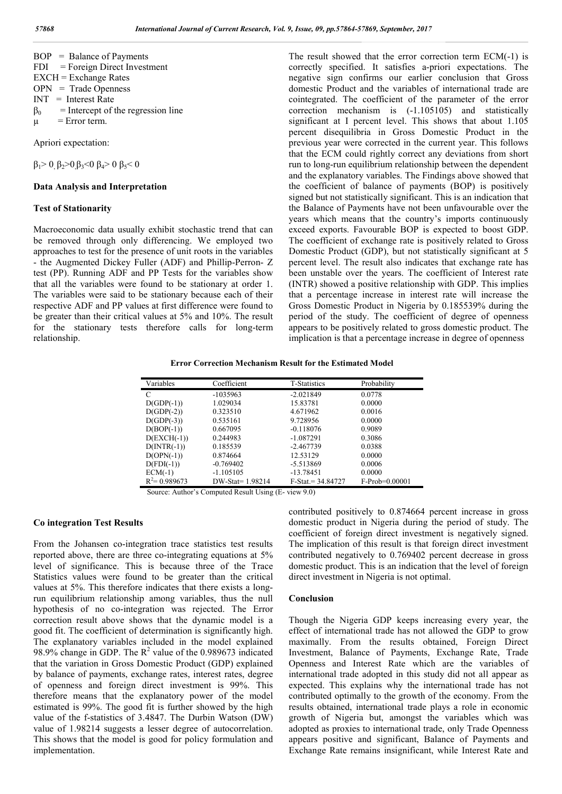|           | $BOP = Balance of Payments$          |
|-----------|--------------------------------------|
|           | $FDI = Foreign Direct Investment$    |
|           | $EXCH = Exchange$ Rates              |
|           | $OPN = Trade Opennes$                |
|           | $INT = Interest Rate$                |
| $\beta_0$ | $=$ Intercept of the regression line |
| $\mu$     | $=$ Error term.                      |
|           |                                      |

Apriori expectation:

 $β<sub>1</sub> > 0, β<sub>2</sub> > 0, β<sub>3</sub> < 0, β<sub>4</sub> > 0, β<sub>5</sub> < 0$ 

# **Data Analysis and Interpretation**

# **Test of Stationarity**

Macroeconomic data usually exhibit stochastic trend that can be removed through only differencing. We employed two approaches to test for the presence of unit roots in the variables - the Augmented Dickey Fuller (ADF) and Phillip-Perron- Z test (PP). Running ADF and PP Tests for the variables show that all the variables were found to be stationary at order 1. The variables were said to be stationary because each of their respective ADF and PP values at first difference were found to be greater than their critical values at 5% and 10%. The result for the stationary tests therefore calls for long-term relationship.

The result showed that the error correction term ECM(-1) is correctly specified. It satisfies a-priori expectations. The negative sign confirms our earlier conclusion that Gross domestic Product and the variables of international trade are cointegrated. The coefficient of the parameter of the error correction mechanism is (-1.105105) and statistically significant at I percent level. This shows that about 1.105 percent disequilibria in Gross Domestic Product in the previous year were corrected in the current year. This follows that the ECM could rightly correct any deviations from short run to long-run equilibrium relationship between the dependent and the explanatory variables. The Findings above showed that the coefficient of balance of payments (BOP) is positively signed but not statistically significant. This is an indication that the Balance of Payments have not been unfavourable over the years which means that the country's imports continuously exceed exports. Favourable BOP is expected to boost GDP. The coefficient of exchange rate is positively related to Gross Domestic Product (GDP), but not statistically significant at 5 percent level. The result also indicates that exchange rate has been unstable over the years. The coefficient of Interest rate (INTR) showed a positive relationship with GDP. This implies that a percentage increase in interest rate will increase the Gross Domestic Product in Nigeria by 0.185539% during the period of the study. The coefficient of degree of openness appears to be positively related to gross domestic product. The implication is that a percentage increase in degree of openness

# **Error Correction Mechanism Result for the Estimated Model**

| Variables             | Coefficient      | <b>T-Statistics</b> | Probability      |
|-----------------------|------------------|---------------------|------------------|
| C                     | $-1035963$       | $-2.021849$         | 0.0778           |
| $D(GDP(-1))$          | 1.029034         | 15.83781            | 0.0000           |
| $D(GDP(-2))$          | 0.323510         | 4.671962            | 0.0016           |
| $D(GDP(-3))$          | 0.535161         | 9.728956            | 0.0000           |
| $D( BOP(-1))$         | 0.667095         | $-0.118076$         | 0.9089           |
| $D(EXCH(-1))$         | 0.244983         | $-1.087291$         | 0.3086           |
| $D(\text{INTER}(-1))$ | 0.185539         | $-2.467739$         | 0.0388           |
| $D(OPN(-1))$          | 0.874664         | 12.53129            | 0.0000           |
| $D(FDI(-1))$          | $-0.769402$      | $-5.513869$         | 0.0006           |
| $ECM(-1)$             | $-1.105105$      | $-13.78451$         | 0.0000           |
| $R^2$ = 0.989673      | DW-Stat= 1.98214 | $F-Stat = 34.84727$ | $F-Prob=0.00001$ |

Source: Author's Computed Result Using (E- view 9.0)

# **Co integration Test Results**

From the Johansen co-integration trace statistics test results reported above, there are three co-integrating equations at 5% level of significance. This is because three of the Trace Statistics values were found to be greater than the critical values at 5%. This therefore indicates that there exists a longrun equilibrium relationship among variables, thus the null hypothesis of no co-integration was rejected. The Error correction result above shows that the dynamic model is a good fit. The coefficient of determination is significantly high. The explanatory variables included in the model explained 98.9% change in GDP. The  $R^2$  value of the 0.989673 indicated that the variation in Gross Domestic Product (GDP) explained by balance of payments, exchange rates, interest rates, degree of openness and foreign direct investment is 99%. This therefore means that the explanatory power of the model estimated is 99%. The good fit is further showed by the high value of the f-statistics of 3.4847. The Durbin Watson (DW) value of 1.98214 suggests a lesser degree of autocorrelation. This shows that the model is good for policy formulation and implementation.

contributed positively to 0.874664 percent increase in gross domestic product in Nigeria during the period of study. The coefficient of foreign direct investment is negatively signed. The implication of this result is that foreign direct investment contributed negatively to 0.769402 percent decrease in gross domestic product. This is an indication that the level of foreign direct investment in Nigeria is not optimal.

# **Conclusion**

Though the Nigeria GDP keeps increasing every year, the effect of international trade has not allowed the GDP to grow maximally. From the results obtained, Foreign Direct Investment, Balance of Payments, Exchange Rate, Trade Openness and Interest Rate which are the variables of international trade adopted in this study did not all appear as expected. This explains why the international trade has not contributed optimally to the growth of the economy. From the results obtained, international trade plays a role in economic growth of Nigeria but, amongst the variables which was adopted as proxies to international trade, only Trade Openness appears positive and significant, Balance of Payments and Exchange Rate remains insignificant, while Interest Rate and